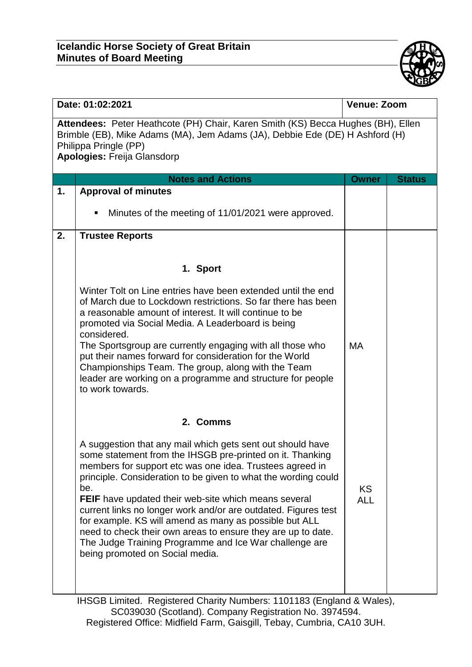## **Icelandic Horse Society of Great Britain Minutes of Board Meeting**



| Date: 01:02:2021                                                                                                                                                                                                                |                                                                                                                                                                                                                                                                                                                                                                                                                                                                                                                                                                                                                      | Venue: Zoom       |               |  |  |
|---------------------------------------------------------------------------------------------------------------------------------------------------------------------------------------------------------------------------------|----------------------------------------------------------------------------------------------------------------------------------------------------------------------------------------------------------------------------------------------------------------------------------------------------------------------------------------------------------------------------------------------------------------------------------------------------------------------------------------------------------------------------------------------------------------------------------------------------------------------|-------------------|---------------|--|--|
| Attendees: Peter Heathcote (PH) Chair, Karen Smith (KS) Becca Hughes (BH), Ellen<br>Brimble (EB), Mike Adams (MA), Jem Adams (JA), Debbie Ede (DE) H Ashford (H)<br>Philippa Pringle (PP)<br><b>Apologies: Freija Glansdorp</b> |                                                                                                                                                                                                                                                                                                                                                                                                                                                                                                                                                                                                                      |                   |               |  |  |
|                                                                                                                                                                                                                                 | <b>Notes and Actions</b>                                                                                                                                                                                                                                                                                                                                                                                                                                                                                                                                                                                             | <b>Owner</b>      | <b>Status</b> |  |  |
| 1.                                                                                                                                                                                                                              | <b>Approval of minutes</b>                                                                                                                                                                                                                                                                                                                                                                                                                                                                                                                                                                                           |                   |               |  |  |
|                                                                                                                                                                                                                                 | Minutes of the meeting of 11/01/2021 were approved.<br>٠                                                                                                                                                                                                                                                                                                                                                                                                                                                                                                                                                             |                   |               |  |  |
| 2.                                                                                                                                                                                                                              | <b>Trustee Reports</b>                                                                                                                                                                                                                                                                                                                                                                                                                                                                                                                                                                                               |                   |               |  |  |
|                                                                                                                                                                                                                                 |                                                                                                                                                                                                                                                                                                                                                                                                                                                                                                                                                                                                                      |                   |               |  |  |
|                                                                                                                                                                                                                                 | 1. Sport                                                                                                                                                                                                                                                                                                                                                                                                                                                                                                                                                                                                             |                   |               |  |  |
|                                                                                                                                                                                                                                 | Winter Tolt on Line entries have been extended until the end<br>of March due to Lockdown restrictions. So far there has been<br>a reasonable amount of interest. It will continue to be<br>promoted via Social Media. A Leaderboard is being<br>considered.<br>The Sportsgroup are currently engaging with all those who<br>put their names forward for consideration for the World<br>Championships Team. The group, along with the Team<br>leader are working on a programme and structure for people<br>to work towards.                                                                                          | MA                |               |  |  |
|                                                                                                                                                                                                                                 | 2. Comms                                                                                                                                                                                                                                                                                                                                                                                                                                                                                                                                                                                                             |                   |               |  |  |
|                                                                                                                                                                                                                                 | A suggestion that any mail which gets sent out should have<br>some statement from the IHSGB pre-printed on it. Thanking<br>members for support etc was one idea. Trustees agreed in<br>principle. Consideration to be given to what the wording could<br>be.<br><b>FEIF</b> have updated their web-site which means several<br>current links no longer work and/or are outdated. Figures test<br>for example. KS will amend as many as possible but ALL<br>need to check their own areas to ensure they are up to date.<br>The Judge Training Programme and Ice War challenge are<br>being promoted on Social media. | KS.<br><b>ALL</b> |               |  |  |
|                                                                                                                                                                                                                                 | ILICOD Limited Degistered Charity Numbergy 4404402 (England 8 Moles)                                                                                                                                                                                                                                                                                                                                                                                                                                                                                                                                                 |                   |               |  |  |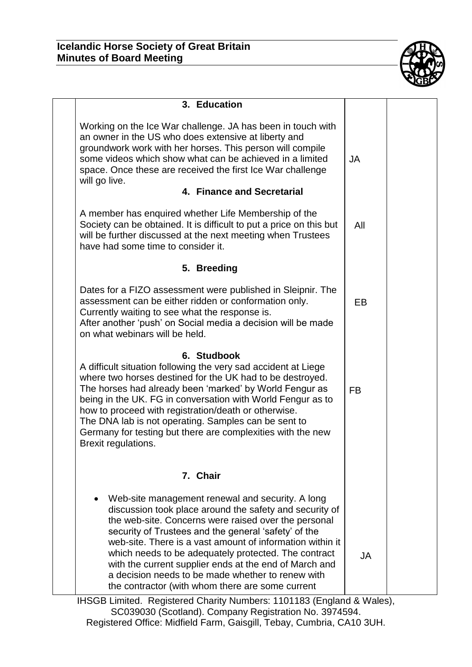

| 3. Education                                                                                                                                                                                                                                                                                                                                                                                                                                                                                                        |           |  |
|---------------------------------------------------------------------------------------------------------------------------------------------------------------------------------------------------------------------------------------------------------------------------------------------------------------------------------------------------------------------------------------------------------------------------------------------------------------------------------------------------------------------|-----------|--|
| Working on the Ice War challenge. JA has been in touch with<br>an owner in the US who does extensive at liberty and<br>groundwork work with her horses. This person will compile<br>some videos which show what can be achieved in a limited<br>space. Once these are received the first Ice War challenge<br>will go live.<br>4. Finance and Secretarial                                                                                                                                                           | JA        |  |
| A member has enquired whether Life Membership of the<br>Society can be obtained. It is difficult to put a price on this but<br>will be further discussed at the next meeting when Trustees<br>have had some time to consider it.                                                                                                                                                                                                                                                                                    | All       |  |
| 5. Breeding                                                                                                                                                                                                                                                                                                                                                                                                                                                                                                         |           |  |
| Dates for a FIZO assessment were published in Sleipnir. The<br>assessment can be either ridden or conformation only.<br>Currently waiting to see what the response is.<br>After another 'push' on Social media a decision will be made<br>on what webinars will be held.                                                                                                                                                                                                                                            | EB        |  |
| 6. Studbook<br>A difficult situation following the very sad accident at Liege<br>where two horses destined for the UK had to be destroyed.<br>The horses had already been 'marked' by World Fengur as<br>being in the UK. FG in conversation with World Fengur as to<br>how to proceed with registration/death or otherwise.<br>The DNA lab is not operating. Samples can be sent to<br>Germany for testing but there are complexities with the new<br>Brexit regulations.                                          | <b>FB</b> |  |
| 7. Chair                                                                                                                                                                                                                                                                                                                                                                                                                                                                                                            |           |  |
| Web-site management renewal and security. A long<br>discussion took place around the safety and security of<br>the web-site. Concerns were raised over the personal<br>security of Trustees and the general 'safety' of the<br>web-site. There is a vast amount of information within it<br>which needs to be adequately protected. The contract<br>with the current supplier ends at the end of March and<br>a decision needs to be made whether to renew with<br>the contractor (with whom there are some current | JA        |  |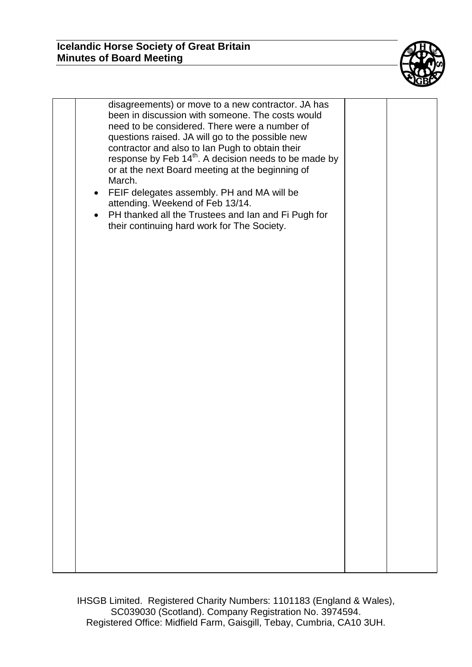